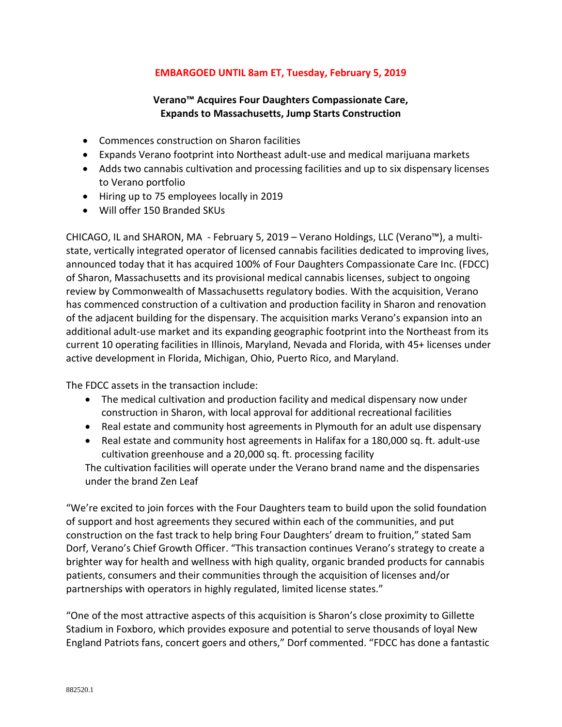## **EMBARGOED UNTIL 8am ET, Tuesday, February 5, 2019**

## **Verano™ Acquires Four Daughters Compassionate Care, Expands to Massachusetts, Jump Starts Construction**

- Commences construction on Sharon facilities
- Expands Verano footprint into Northeast adult-use and medical marijuana markets
- Adds two cannabis cultivation and processing facilities and up to six dispensary licenses to Verano portfolio
- Hiring up to 75 employees locally in 2019
- Will offer 150 Branded SKUs

CHICAGO, IL and SHARON, MA - February 5, 2019 – Verano Holdings, LLC (Verano™), a multistate, vertically integrated operator of licensed cannabis facilities dedicated to improving lives, announced today that it has acquired 100% of Four Daughters Compassionate Care Inc. (FDCC) of Sharon, Massachusetts and its provisional medical cannabis licenses, subject to ongoing review by Commonwealth of Massachusetts regulatory bodies. With the acquisition, Verano has commenced construction of a cultivation and production facility in Sharon and renovation of the adjacent building for the dispensary. The acquisition marks Verano's expansion into an additional adult-use market and its expanding geographic footprint into the Northeast from its current 10 operating facilities in Illinois, Maryland, Nevada and Florida, with 45+ licenses under active development in Florida, Michigan, Ohio, Puerto Rico, and Maryland.

The FDCC assets in the transaction include:

- The medical cultivation and production facility and medical dispensary now under construction in Sharon, with local approval for additional recreational facilities
- Real estate and community host agreements in Plymouth for an adult use dispensary
- Real estate and community host agreements in Halifax for a 180,000 sq. ft. adult-use cultivation greenhouse and a 20,000 sq. ft. processing facility

The cultivation facilities will operate under the Verano brand name and the dispensaries under the brand Zen Leaf

"We're excited to join forces with the Four Daughters team to build upon the solid foundation of support and host agreements they secured within each of the communities, and put construction on the fast track to help bring Four Daughters' dream to fruition," stated Sam Dorf, Verano's Chief Growth Officer. "This transaction continues Verano's strategy to create a brighter way for health and wellness with high quality, organic branded products for cannabis patients, consumers and their communities through the acquisition of licenses and/or partnerships with operators in highly regulated, limited license states."

"One of the most attractive aspects of this acquisition is Sharon's close proximity to Gillette Stadium in Foxboro, which provides exposure and potential to serve thousands of loyal New England Patriots fans, concert goers and others," Dorf commented. "FDCC has done a fantastic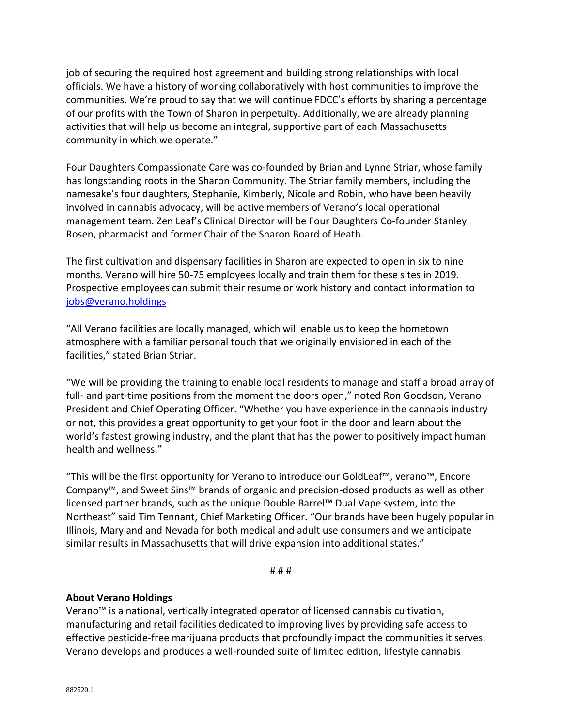job of securing the required host agreement and building strong relationships with local officials. We have a history of working collaboratively with host communities to improve the communities. We're proud to say that we will continue FDCC's efforts by sharing a percentage of our profits with the Town of Sharon in perpetuity. Additionally, we are already planning activities that will help us become an integral, supportive part of each Massachusetts community in which we operate."

Four Daughters Compassionate Care was co-founded by Brian and Lynne Striar, whose family has longstanding roots in the Sharon Community. The Striar family members, including the namesake's four daughters, Stephanie, Kimberly, Nicole and Robin, who have been heavily involved in cannabis advocacy, will be active members of Verano's local operational management team. Zen Leaf's Clinical Director will be Four Daughters Co-founder Stanley Rosen, pharmacist and former Chair of the Sharon Board of Heath.

The first cultivation and dispensary facilities in Sharon are expected to open in six to nine months. Verano will hire 50-75 employees locally and train them for these sites in 2019. Prospective employees can submit their resume or work history and contact information to [jobs@verano.holdings](mailto:jobs@verano.holdings)

"All Verano facilities are locally managed, which will enable us to keep the hometown atmosphere with a familiar personal touch that we originally envisioned in each of the facilities," stated Brian Striar.

"We will be providing the training to enable local residents to manage and staff a broad array of full- and part-time positions from the moment the doors open," noted Ron Goodson, Verano President and Chief Operating Officer. "Whether you have experience in the cannabis industry or not, this provides a great opportunity to get your foot in the door and learn about the world's fastest growing industry, and the plant that has the power to positively impact human health and wellness."

"This will be the first opportunity for Verano to introduce our GoldLeaf™, verano™, Encore Company™, and Sweet Sins™ brands of organic and precision-dosed products as well as other licensed partner brands, such as the unique Double Barrel™ Dual Vape system, into the Northeast" said Tim Tennant, Chief Marketing Officer. "Our brands have been hugely popular in Illinois, Maryland and Nevada for both medical and adult use consumers and we anticipate similar results in Massachusetts that will drive expansion into additional states."

# # #

## **About Verano Holdings**

Verano™ is a national, vertically integrated operator of licensed cannabis cultivation, manufacturing and retail facilities dedicated to improving lives by providing safe access to effective pesticide-free marijuana products that profoundly impact the communities it serves. Verano develops and produces a well-rounded suite of limited edition, lifestyle cannabis